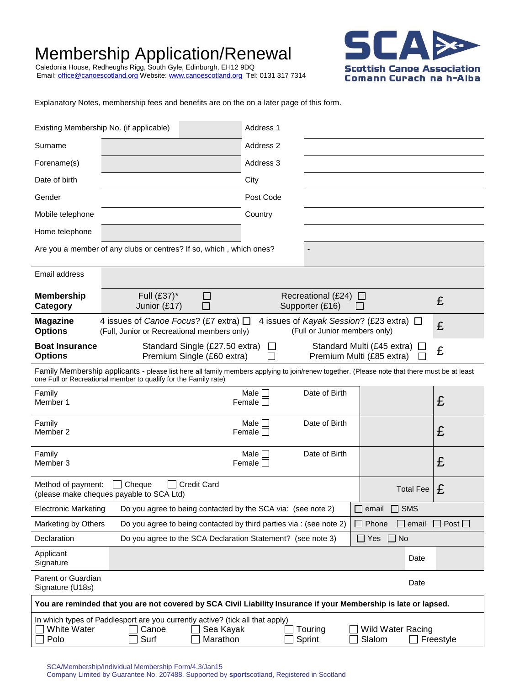# Membership Application/Renewal

Caledonia House, Redheughs Rigg, South Gyle, Edinburgh, EH12 9DQ Email: <u>office@canoescotland.org</u> Website: <u>www.canoescotland.org</u> Tel: 0131 317 7314



Explanatory Notes, membership fees and benefits are on the on a later page of this form.

| Existing Membership No. (if applicable)                                                                                                                                                                                       |                                                                                                                                                                             | Address 1                       |                                       |                            |                    |
|-------------------------------------------------------------------------------------------------------------------------------------------------------------------------------------------------------------------------------|-----------------------------------------------------------------------------------------------------------------------------------------------------------------------------|---------------------------------|---------------------------------------|----------------------------|--------------------|
| Surname                                                                                                                                                                                                                       |                                                                                                                                                                             | Address 2                       |                                       |                            |                    |
| Forename(s)                                                                                                                                                                                                                   |                                                                                                                                                                             | Address 3                       |                                       |                            |                    |
| Date of birth                                                                                                                                                                                                                 |                                                                                                                                                                             | City                            |                                       |                            |                    |
| Gender                                                                                                                                                                                                                        |                                                                                                                                                                             | Post Code                       |                                       |                            |                    |
| Mobile telephone                                                                                                                                                                                                              |                                                                                                                                                                             | Country                         |                                       |                            |                    |
| Home telephone                                                                                                                                                                                                                |                                                                                                                                                                             |                                 |                                       |                            |                    |
|                                                                                                                                                                                                                               | Are you a member of any clubs or centres? If so, which, which ones?                                                                                                         |                                 | $\overline{\phantom{a}}$              |                            |                    |
| Email address                                                                                                                                                                                                                 |                                                                                                                                                                             |                                 |                                       |                            |                    |
| <b>Membership</b><br>Category                                                                                                                                                                                                 | Full (£37)*<br>$\mathbf{I}$<br>Junior (£17)                                                                                                                                 |                                 | Recreational (£24)<br>Supporter (£16) | $\perp$                    | £                  |
| <b>Magazine</b><br><b>Options</b>                                                                                                                                                                                             | 4 issues of Canoe Focus? (£7 extra) $\Box$<br>4 issues of Kayak Session? (£23 extra) $\Box$<br>(Full or Junior members only)<br>(Full, Junior or Recreational members only) |                                 |                                       |                            | £                  |
| <b>Boat Insurance</b><br><b>Options</b>                                                                                                                                                                                       | Standard Single (£27.50 extra)<br>Premium Single (£60 extra)                                                                                                                | $\perp$                         | Premium Multi (£85 extra)             | Standard Multi (£45 extra) | £                  |
| Family Membership applicants - please list here all family members applying to join/renew together. (Please note that there must be at least<br>one Full or Recreational member to qualify for the Family rate)               |                                                                                                                                                                             |                                 |                                       |                            |                    |
| Family<br>Member 1                                                                                                                                                                                                            |                                                                                                                                                                             | Male $\Box$<br>Female $\square$ | Date of Birth                         |                            | £                  |
| Family<br>Member 2                                                                                                                                                                                                            |                                                                                                                                                                             | Male $\Box$<br>Female $\square$ | Date of Birth                         |                            | £                  |
| Family<br>Member 3                                                                                                                                                                                                            |                                                                                                                                                                             | Male I I<br>Female $\Box$       | Date of Birth                         |                            | £                  |
| Method of payment:                                                                                                                                                                                                            | <b>Credit Card</b><br>$\Box$ Cheque<br>(please make cheques payable to SCA Ltd)                                                                                             |                                 |                                       | <b>Total Fee</b>           | £                  |
| <b>Electronic Marketing</b>                                                                                                                                                                                                   | Do you agree to being contacted by the SCA via: (see note 2)                                                                                                                |                                 |                                       | email<br><b>SMS</b>        |                    |
| Marketing by Others                                                                                                                                                                                                           | Do you agree to being contacted by third parties via : (see note 2)                                                                                                         |                                 |                                       | Phone<br>$\Box$ email      | $\Box$ Post $\Box$ |
| Declaration                                                                                                                                                                                                                   | Do you agree to the SCA Declaration Statement? (see note 3)                                                                                                                 |                                 |                                       | $\square$ Yes<br>$\Box$ No |                    |
| Applicant<br>Signature                                                                                                                                                                                                        |                                                                                                                                                                             |                                 |                                       | Date                       |                    |
| Parent or Guardian<br>Signature (U18s)                                                                                                                                                                                        |                                                                                                                                                                             |                                 |                                       | Date                       |                    |
| You are reminded that you are not covered by SCA Civil Liability Insurance if your Membership is late or lapsed.                                                                                                              |                                                                                                                                                                             |                                 |                                       |                            |                    |
| In which types of Paddlesport are you currently active? (tick all that apply)<br><b>White Water</b><br>Canoe<br>Sea Kayak<br>Touring<br><b>Wild Water Racing</b><br>Polo<br>Surf<br>Marathon<br>Slalom<br>Freestyle<br>Sprint |                                                                                                                                                                             |                                 |                                       |                            |                    |

SCA/Membership/Individual Membership Form/4.3/Jan15 Company Limited by Guarantee No. 207488. Supported by **sport**scotland, Registered in Scotland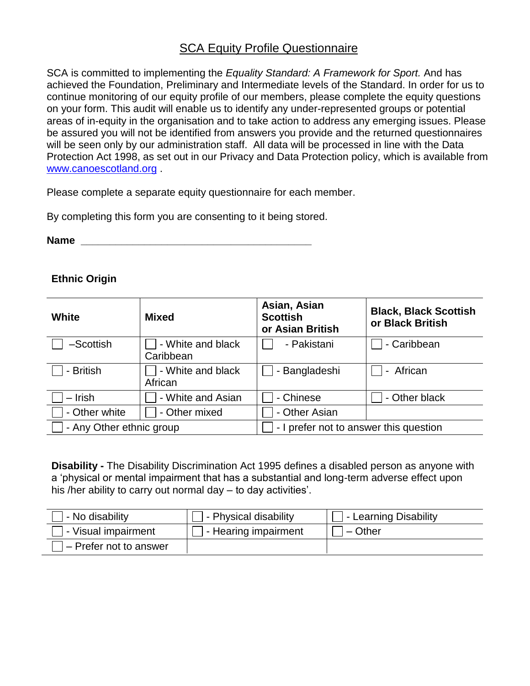## SCA Equity Profile Questionnaire

SCA is committed to implementing the *Equality Standard: A Framework for Sport.* And has achieved the Foundation, Preliminary and Intermediate levels of the Standard. In order for us to continue monitoring of our equity profile of our members, please complete the equity questions on your form. This audit will enable us to identify any under-represented groups or potential areas of in-equity in the organisation and to take action to address any emerging issues. Please be assured you will not be identified from answers you provide and the returned questionnaires will be seen only by our administration staff. All data will be processed in line with the Data Protection Act 1998, as set out in our Privacy and Data Protection policy, which is available from [www.canoescotland.org](http://www.canoescotland.org/) .

Please complete a separate equity questionnaire for each member.

By completing this form you are consenting to it being stored.

**Name**  $\blacksquare$ 

### **Ethnic Origin**

| White                    | <b>Mixed</b>                   | Asian, Asian<br><b>Scottish</b><br>or Asian British | <b>Black, Black Scottish</b><br>or Black British |  |
|--------------------------|--------------------------------|-----------------------------------------------------|--------------------------------------------------|--|
| -Scottish                | - White and black<br>Caribbean | - Pakistani                                         | - Caribbean                                      |  |
| - British                | - White and black<br>African   | - Bangladeshi                                       | - African                                        |  |
| - Irish                  | - White and Asian              | - Chinese                                           | - Other black                                    |  |
| - Other white            | - Other mixed                  | - Other Asian                                       |                                                  |  |
| - Any Other ethnic group |                                | - I prefer not to answer this question              |                                                  |  |

**Disability -** The Disability Discrimination Act 1995 defines a disabled person as anyone with a 'physical or mental impairment that has a substantial and long-term adverse effect upon his /her ability to carry out normal day – to day activities'.

| - No disability        | - Physical disability | - Learning Disability |
|------------------------|-----------------------|-----------------------|
| - Visual impairment    | - Hearing impairment  | l – Other             |
| - Prefer not to answer |                       |                       |